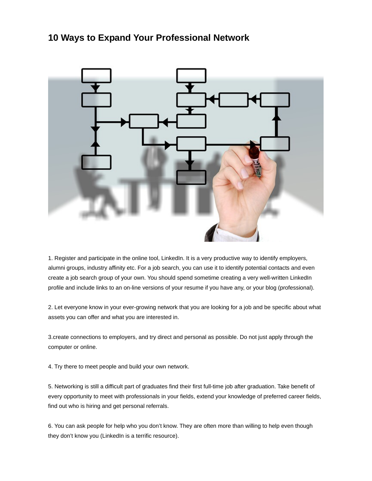## **10 Ways to Expand Your Professional Network**



1. Register and participate in the online tool, LinkedIn. It is a very productive way to identify employers, alumni groups, industry affinity etc. For a job search, you can use it to identify potential contacts and even create a job search group of your own. You should spend sometime creating a very well-written LinkedIn profile and include links to an on-line versions of your resume if you have any, or your blog (professional).

2. Let everyone know in your ever-growing network that you are looking for a job and be specific about what assets you can offer and what you are interested in.

3.create connections to employers, and try direct and personal as possible. Do not just apply through the computer or online.

4. Try there to meet people and build your own network.

5. Networking is still a difficult part of graduates find their first full-time job after graduation. Take benefit of every opportunity to meet with professionals in your fields, extend your knowledge of preferred career fields, find out who is hiring and get personal referrals.

6. You can ask people for help who you don't know. They are often more than willing to help even though they don't know you (LinkedIn is a terrific resource).